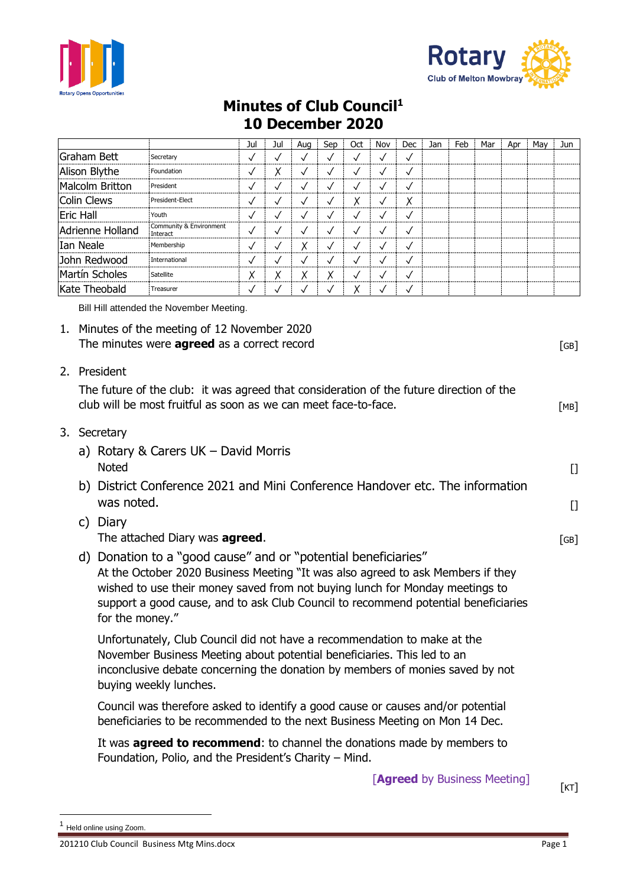



## **Minutes of Club Council<sup>1</sup> 10 December 2020**

|                                                         |                                                                                                                                                                                                                                                                                                                                            |                                                                                                                                                                                                                                                                | Jul          | Jul          | Aug          | Sep          | Oct          | Nov          | Dec                                 | Jan | Feb | Mar | Apr  | May  | Jun    |  |
|---------------------------------------------------------|--------------------------------------------------------------------------------------------------------------------------------------------------------------------------------------------------------------------------------------------------------------------------------------------------------------------------------------------|----------------------------------------------------------------------------------------------------------------------------------------------------------------------------------------------------------------------------------------------------------------|--------------|--------------|--------------|--------------|--------------|--------------|-------------------------------------|-----|-----|-----|------|------|--------|--|
| <b>Graham Bett</b>                                      |                                                                                                                                                                                                                                                                                                                                            | Secretary                                                                                                                                                                                                                                                      | $\checkmark$ | $\checkmark$ | $\checkmark$ | $\checkmark$ | $\checkmark$ | $\checkmark$ | $\checkmark$                        |     |     |     |      |      |        |  |
| Alison Blythe                                           |                                                                                                                                                                                                                                                                                                                                            | Foundation                                                                                                                                                                                                                                                     | $\checkmark$ | Χ            | $\checkmark$ | $\checkmark$ | $\checkmark$ | $\checkmark$ | $\checkmark$                        |     |     |     |      |      |        |  |
| <b>Malcolm Britton</b>                                  |                                                                                                                                                                                                                                                                                                                                            | President                                                                                                                                                                                                                                                      | $\checkmark$ | $\checkmark$ | $\checkmark$ | $\checkmark$ | $\checkmark$ | $\checkmark$ | $\checkmark$                        |     |     |     |      |      |        |  |
| <b>Colin Clews</b><br>President-Elect                   |                                                                                                                                                                                                                                                                                                                                            |                                                                                                                                                                                                                                                                | $\checkmark$ | $\checkmark$ | $\checkmark$ | $\checkmark$ | Χ            | $\checkmark$ | Χ                                   |     |     |     |      |      |        |  |
| <b>Eric Hall</b><br>Youth                               |                                                                                                                                                                                                                                                                                                                                            | $\checkmark$                                                                                                                                                                                                                                                   | $\checkmark$ | $\checkmark$ | $\checkmark$ | $\checkmark$ | $\checkmark$ | $\checkmark$ |                                     |     |     |     |      |      |        |  |
| Community & Environment<br>Adrienne Holland<br>Interact |                                                                                                                                                                                                                                                                                                                                            | $\checkmark$                                                                                                                                                                                                                                                   | $\checkmark$ | $\checkmark$ | $\checkmark$ | $\checkmark$ | $\checkmark$ | $\checkmark$ |                                     |     |     |     |      |      |        |  |
| Ian Neale<br>Membership                                 |                                                                                                                                                                                                                                                                                                                                            |                                                                                                                                                                                                                                                                | $\checkmark$ | $\checkmark$ | Χ            | $\checkmark$ | $\checkmark$ | $\checkmark$ | $\checkmark$                        |     |     |     |      |      |        |  |
| John Redwood<br>International                           |                                                                                                                                                                                                                                                                                                                                            |                                                                                                                                                                                                                                                                | ✓            | $\checkmark$ | $\checkmark$ | $\checkmark$ | $\checkmark$ | $\checkmark$ | $\checkmark$                        |     |     |     |      |      |        |  |
| Martín Scholes                                          |                                                                                                                                                                                                                                                                                                                                            | Satellite                                                                                                                                                                                                                                                      | Χ            | χ            | Χ            | Χ            | $\checkmark$ | $\checkmark$ | $\checkmark$                        |     |     |     |      |      |        |  |
| Kate Theobald                                           |                                                                                                                                                                                                                                                                                                                                            | Treasurer                                                                                                                                                                                                                                                      | $\checkmark$ | $\checkmark$ | $\checkmark$ | $\checkmark$ | Χ            | $\checkmark$ | $\checkmark$                        |     |     |     |      |      |        |  |
|                                                         |                                                                                                                                                                                                                                                                                                                                            | Bill Hill attended the November Meeting.                                                                                                                                                                                                                       |              |              |              |              |              |              |                                     |     |     |     |      |      |        |  |
|                                                         | 1. Minutes of the meeting of 12 November 2020<br>The minutes were <b>agreed</b> as a correct record                                                                                                                                                                                                                                        |                                                                                                                                                                                                                                                                |              |              |              |              |              |              |                                     |     |     |     |      |      | [GB]   |  |
|                                                         | 2. President<br>The future of the club: it was agreed that consideration of the future direction of the<br>club will be most fruitful as soon as we can meet face-to-face.                                                                                                                                                                 |                                                                                                                                                                                                                                                                |              |              |              |              |              |              |                                     |     |     |     |      |      | [MB]   |  |
|                                                         | 3. Secretary                                                                                                                                                                                                                                                                                                                               |                                                                                                                                                                                                                                                                |              |              |              |              |              |              |                                     |     |     |     |      |      |        |  |
| a) Rotary & Carers UK - David Morris<br><b>Noted</b>    |                                                                                                                                                                                                                                                                                                                                            |                                                                                                                                                                                                                                                                |              |              |              |              |              |              |                                     |     |     |     |      |      | $\Box$ |  |
| b)                                                      | District Conference 2021 and Mini Conference Handover etc. The information<br>was noted.                                                                                                                                                                                                                                                   |                                                                                                                                                                                                                                                                |              |              |              |              |              |              |                                     |     |     |     |      | $[]$ |        |  |
|                                                         |                                                                                                                                                                                                                                                                                                                                            |                                                                                                                                                                                                                                                                |              |              |              |              |              |              |                                     |     |     |     |      |      |        |  |
|                                                         | c) Diary<br>The attached Diary was <b>agreed</b> .                                                                                                                                                                                                                                                                                         |                                                                                                                                                                                                                                                                |              |              |              |              |              |              |                                     |     |     |     | [GB] |      |        |  |
|                                                         | d) Donation to a "good cause" and or "potential beneficiaries"<br>At the October 2020 Business Meeting "It was also agreed to ask Members if they<br>wished to use their money saved from not buying lunch for Monday meetings to<br>support a good cause, and to ask Club Council to recommend potential beneficiaries<br>for the money." |                                                                                                                                                                                                                                                                |              |              |              |              |              |              |                                     |     |     |     |      |      |        |  |
|                                                         |                                                                                                                                                                                                                                                                                                                                            | Unfortunately, Club Council did not have a recommendation to make at the<br>November Business Meeting about potential beneficiaries. This led to an<br>inconclusive debate concerning the donation by members of monies saved by not<br>buying weekly lunches. |              |              |              |              |              |              |                                     |     |     |     |      |      |        |  |
|                                                         |                                                                                                                                                                                                                                                                                                                                            | Council was therefore asked to identify a good cause or causes and/or potential<br>beneficiaries to be recommended to the next Business Meeting on Mon 14 Dec.                                                                                                 |              |              |              |              |              |              |                                     |     |     |     |      |      |        |  |
|                                                         | It was <b>agreed to recommend</b> : to channel the donations made by members to<br>Foundation, Polio, and the President's Charity - Mind.                                                                                                                                                                                                  |                                                                                                                                                                                                                                                                |              |              |              |              |              |              |                                     |     |     |     |      |      |        |  |
|                                                         |                                                                                                                                                                                                                                                                                                                                            |                                                                                                                                                                                                                                                                |              |              |              |              |              |              | <b>EAgraphy Rusingson Montingle</b> |     |     |     |      |      |        |  |

[**Agreed** by Business Meeting] [KT]

<sup>1</sup> Held online using Zoom.

<sup>201210</sup> Club Council Business Mtg Mins.docx Page 1